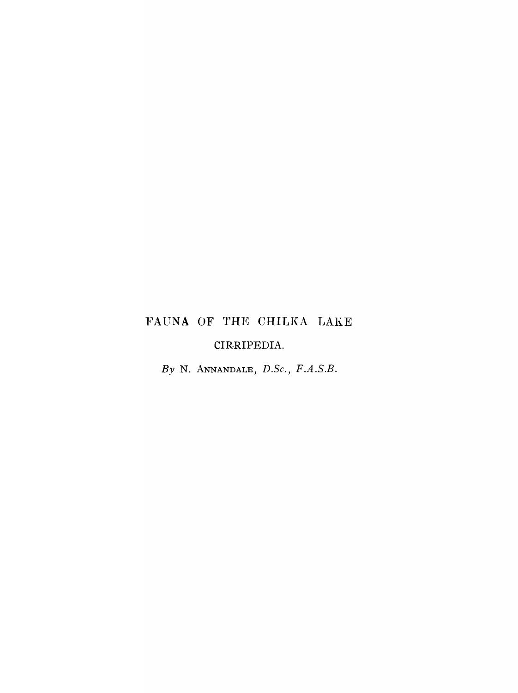# FAUNA OF THE CHILKA LAKE CIRRIPEDIA.

*By* N. ANNANDALE, *D.Se., F.A.S.B.*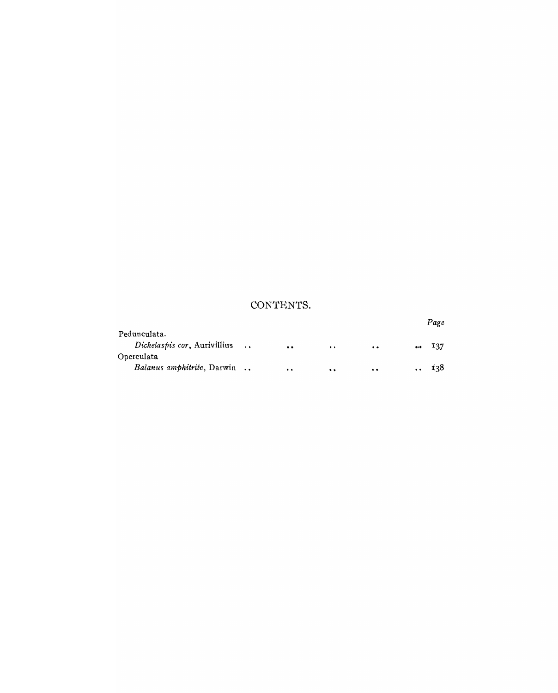## **CONTENTS.**

|                                    |                  |                  |           |           | Page      |
|------------------------------------|------------------|------------------|-----------|-----------|-----------|
| Pedunculata.                       |                  |                  |           |           |           |
| Dichelaspis cor, Aurivillius       | $\sim$ 100 $\mu$ | $\bullet\bullet$ | $\bullet$ | $\bullet$ | <br>- 137 |
| Operculata                         |                  |                  |           |           |           |
| <i>Balanus amphitrite</i> , Darwin |                  | $\bullet$        | $\bullet$ | $\bullet$ | 138       |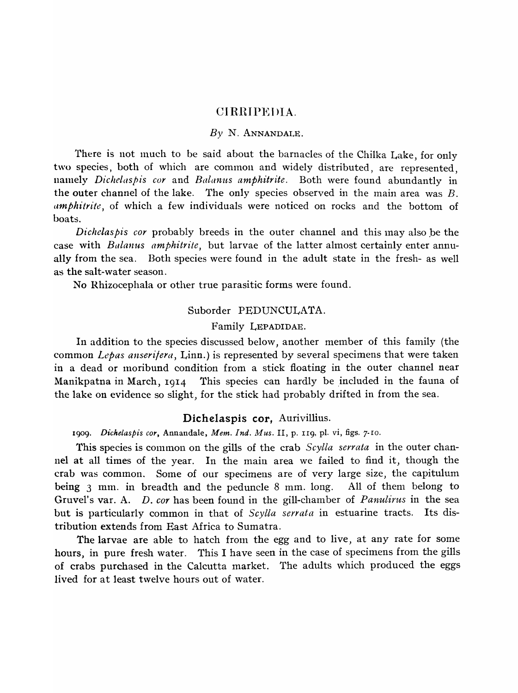#### CIRRIPEDIA.

#### *By* N. ANNANDALE.

There is not much to be said about the barnacles of the Chilka Lake, for only two species, both of which are common and widely distributed, are represented, namely *Dichelaspis cor* and *Balanus amphitrite*. Both were found abundantly in the outer channel of the lake. The only species observed in the main area was B. *comphitrite*, of which a few individuals were noticed on rocks and the bottom of boats.

*Dichelaspis cor* probably breeds in the outer channel and this may also be the case with *Balanus amphitrite,* but larvae of the latter almost certainly enter annually from the sea. Both species were found in the adult state in the fresh- as well as the salt-water season.

No Rhizocephala or other true parasitic forms were found.

#### Suborder PEDUNCULATA.

#### Family LEPADIDAE.

In addition to the species discussed below, another member of this family (the common *Lepas anseri/era,* Linn.) is represented by several specimens that were taken in a dead or moribund condition from a stick floating in the outer channel near Manikpatna in March,  $1914$  This species can hardly be included in the fauna of the lake on evidence so slight, for the stick had probably drifted in from the sea.

#### Dichelaspis cor, Aurivillius.

1909. *Dichelaspis cor,* Annandale, *Mem. Ind. Mus.* II, p. II9, pI. vi, figs. 7-IO.

This species is common on the gills of the crab *Scylla serrata* in the outer channel at all times of the year. In the main area we failed to find it, though the crab \vas common. Some of our specimens are of very large size, the capitulum being  $3 \text{ mm}$ . in breadth and the peduncle  $8 \text{ mm}$ . long. All of them belong to Gruvel's var. A. D. *cor* has been found in the gill-chamber of *Panulirus* in the sea but is particularly common in that of *Scylla serrata* in estuarine tracts. Its distribution extends from East Africa to Sumatra.

The larvae are able to hatch from the egg and to live, at any rate for some hours, in pure fresh water. This I have seen in the case of specimens from the gills of crabs purchased in the Calcutta market. The adults which produced the eggs lived for at least twelve hours out of water.